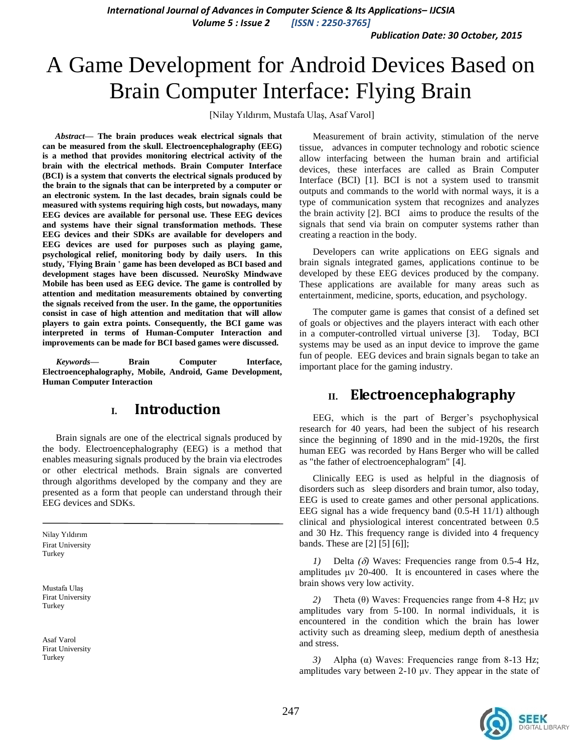*International Journal of Advances in Computer Science & Its Applications– IJCSIA Volume 5 : Issue 2 [ISSN : 2250-3765]*

*Publication Date: 30 October, 2015*

# A Game Development for Android Devices Based on Brain Computer Interface: Flying Brain

[Nilay Yıldırım, Mustafa Ulaş, Asaf Varol]

*Abstract***— The brain produces weak electrical signals that can be measured from the skull. Electroencephalography (EEG) is a method that provides monitoring electrical activity of the brain with the electrical methods. Brain Computer Interface (BCI) is a system that converts the electrical signals produced by the brain to the signals that can be interpreted by a computer or an electronic system. In the last decades, brain signals could be measured with systems requiring high costs, but nowadays, many EEG devices are available for personal use. These EEG devices and systems have their signal transformation methods. These EEG devices and their SDKs are available for developers and EEG devices are used for purposes such as playing game, psychological relief, monitoring body by daily users. In this study, 'Flying Brain ' game has been developed as BCI based and development stages have been discussed. NeuroSky Mindwave Mobile has been used as EEG device. The game is controlled by attention and meditation measurements obtained by converting the signals received from the user. In the game, the opportunities consist in case of high attention and meditation that will allow players to gain extra points. Consequently, the BCI game was interpreted in terms of Human-Computer Interaction and improvements can be made for BCI based games were discussed.**

*Keywords—* **Brain Computer Interface, Electroencephalography, Mobile, Android, Game Development, Human Computer Interaction**

### **I. Introduction**

Brain signals are one of the electrical signals produced by the body. Electroencephalography (EEG) is a method that enables measuring signals produced by the brain via electrodes or other electrical methods. Brain signals are converted through algorithms developed by the company and they are presented as a form that people can understand through their EEG devices and SDKs.

Nilay Yıldırım Firat University Turkey

Mustafa Ulaş Firat University Turkey

Asaf Varol Firat University Turkey

Measurement of brain activity, stimulation of the nerve tissue, advances in computer technology and robotic science allow interfacing between the human brain and artificial devices, these interfaces are called as Brain Computer Interface (BCI) [1]. BCI is not a system used to transmit outputs and commands to the world with normal ways, it is a type of communication system that recognizes and analyzes the brain activity [2]. BCI aims to produce the results of the signals that send via brain on computer systems rather than creating a reaction in the body.

Developers can write applications on EEG signals and brain signals integrated games, applications continue to be developed by these EEG devices produced by the company. These applications are available for many areas such as entertainment, medicine, sports, education, and psychology.

The computer game is games that consist of a defined set of goals or objectives and the players interact with each other in a computer-controlled virtual universe [3]. Today, BCI systems may be used as an input device to improve the game fun of people. EEG devices and brain signals began to take an important place for the gaming industry.

## **II. Electroencephalography**

EEG, which is the part of Berger's psychophysical research for 40 years, had been the subject of his research since the beginning of 1890 and in the mid-1920s, the first human EEG was recorded by Hans Berger who will be called as "the father of electroencephalogram" [4].

Clinically EEG is used as helpful in the diagnosis of disorders such as sleep disorders and brain tumor, also today, EEG is used to create games and other personal applications. EEG signal has a wide frequency band (0.5-H 11/1) although clinical and physiological interest concentrated between 0.5 and 30 Hz. This frequency range is divided into 4 frequency bands. These are [2] [5] [6]];

Delta  $(\delta)$  Waves: Frequencies range from 0.5-4 Hz, amplitudes μv 20-400. It is encountered in cases where the brain shows very low activity.

*2)* Theta (θ) Waves: Frequencies range from 4-8 Hz; μv amplitudes vary from 5-100. In normal individuals, it is encountered in the condition which the brain has lower activity such as dreaming sleep, medium depth of anesthesia and stress.

*3)* Alpha (α) Waves: Frequencies range from 8-13 Hz; amplitudes vary between 2-10 μv. They appear in the state of

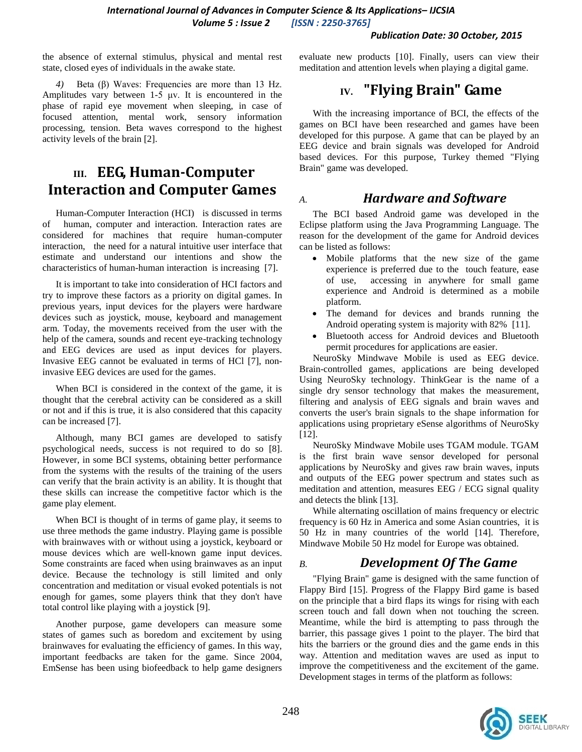#### *Publication Date: 30 October, 2015*

the absence of external stimulus, physical and mental rest state, closed eyes of individuals in the awake state.

*4)* Beta (β) Waves: Frequencies are more than 13 Hz. Amplitudes vary between 1-5 μv. It is encountered in the phase of rapid eye movement when sleeping, in case of focused attention, mental work, sensory information processing, tension. Beta waves correspond to the highest activity levels of the brain [2].

# **III. EEG, Human-Computer Interaction and Computer Games**

Human-Computer Interaction (HCI) is discussed in terms of human, computer and interaction. Interaction rates are considered for machines that require human-computer interaction, the need for a natural intuitive user interface that estimate and understand our intentions and show the characteristics of human-human interaction is increasing [7].

It is important to take into consideration of HCI factors and try to improve these factors as a priority on digital games. In previous years, input devices for the players were hardware devices such as joystick, mouse, keyboard and management arm. Today, the movements received from the user with the help of the camera, sounds and recent eye-tracking technology and EEG devices are used as input devices for players. Invasive EEG cannot be evaluated in terms of HCl [7], noninvasive EEG devices are used for the games.

When BCI is considered in the context of the game, it is thought that the cerebral activity can be considered as a skill or not and if this is true, it is also considered that this capacity can be increased [7].

Although, many BCI games are developed to satisfy psychological needs, success is not required to do so [8]. However, in some BCI systems, obtaining better performance from the systems with the results of the training of the users can verify that the brain activity is an ability. It is thought that these skills can increase the competitive factor which is the game play element.

When BCI is thought of in terms of game play, it seems to use three methods the game industry. Playing game is possible with brainwaves with or without using a joystick, keyboard or mouse devices which are well-known game input devices. Some constraints are faced when using brainwaves as an input device. Because the technology is still limited and only concentration and meditation or visual evoked potentials is not enough for games, some players think that they don't have total control like playing with a joystick [9].

Another purpose, game developers can measure some states of games such as boredom and excitement by using brainwaves for evaluating the efficiency of games. In this way, important feedbacks are taken for the game. Since 2004, EmSense has been using biofeedback to help game designers evaluate new products [10]. Finally, users can view their meditation and attention levels when playing a digital game.

# **IV. "Flying Brain" Game**

With the increasing importance of BCI, the effects of the games on BCI have been researched and games have been developed for this purpose. A game that can be played by an EEG device and brain signals was developed for Android based devices. For this purpose, Turkey themed "Flying Brain" game was developed.

### *A. Hardware and Software*

The BCI based Android game was developed in the Eclipse platform using the Java Programming Language. The reason for the development of the game for Android devices can be listed as follows:

- Mobile platforms that the new size of the game experience is preferred due to the touch feature, ease of use, accessing in anywhere for small game experience and Android is determined as a mobile platform.
- The demand for devices and brands running the Android operating system is majority with 82% [11].
- Bluetooth access for Android devices and Bluetooth permit procedures for applications are easier.

NeuroSky Mindwave Mobile is used as EEG device. Brain-controlled games, applications are being developed Using NeuroSky technology. ThinkGear is the name of a single dry sensor technology that makes the measurement, filtering and analysis of EEG signals and brain waves and converts the user's brain signals to the shape information for applications using proprietary eSense algorithms of NeuroSky [12].

NeuroSky Mindwave Mobile uses TGAM module. TGAM is the first brain wave sensor developed for personal applications by NeuroSky and gives raw brain waves, inputs and outputs of the EEG power spectrum and states such as meditation and attention, measures EEG / ECG signal quality and detects the blink [13].

While alternating oscillation of mains frequency or electric frequency is 60 Hz in America and some Asian countries, it is 50 Hz in many countries of the world [14]. Therefore, Mindwave Mobile 50 Hz model for Europe was obtained.

### *B. Development Of The Game*

"Flying Brain" game is designed with the same function of Flappy Bird [15]. Progress of the Flappy Bird game is based on the principle that a bird flaps its wings for rising with each screen touch and fall down when not touching the screen. Meantime, while the bird is attempting to pass through the barrier, this passage gives 1 point to the player. The bird that hits the barriers or the ground dies and the game ends in this way. Attention and meditation waves are used as input to improve the competitiveness and the excitement of the game. Development stages in terms of the platform as follows:

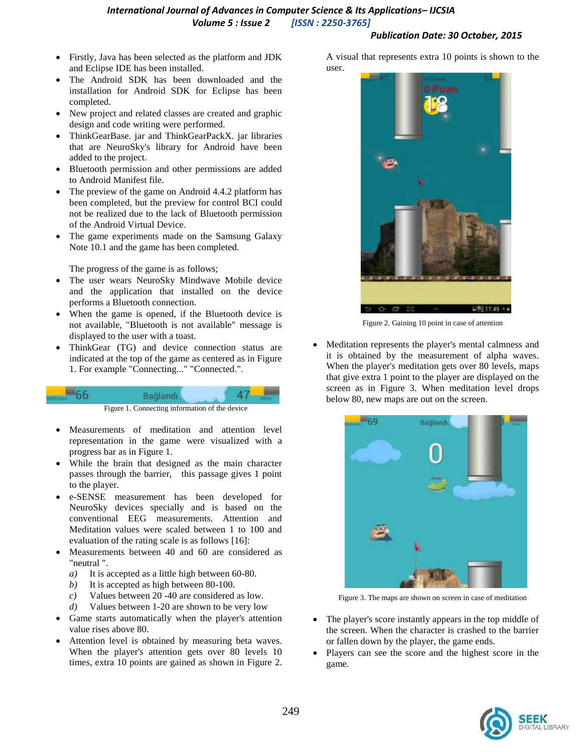### *International Journal of Advances in Computer Science & Its Applications– IJCSIA Volume 5 : Issue 2 [ISSN : 2250-3765]*

#### *Publication Date: 30 October, 2015*

- Firstly, Java has been selected as the platform and JDK and Eclipse IDE has been installed.
- The Android SDK has been downloaded and the installation for Android SDK for Eclipse has been completed.
- New project and related classes are created and graphic design and code writing were performed.
- ThinkGearBase. jar and ThinkGearPackX. jar libraries that are NeuroSky's library for Android have been added to the project.
- Bluetooth permission and other permissions are added to Android Manifest file.
- The preview of the game on Android 4.4.2 platform has been completed, but the preview for control BCI could not be realized due to the lack of Bluetooth permission of the Android Virtual Device.
- The game experiments made on the Samsung Galaxy Note 10.1 and the game has been completed.

The progress of the game is as follows;

- The user wears NeuroSky Mindwave Mobile device and the application that installed on the device performs a Bluetooth connection.
- When the game is opened, if the Bluetooth device is not available, "Bluetooth is not available" message is displayed to the user with a toast.
- ThinkGear (TG) and device connection status are indicated at the top of the game as centered as in Figure 1. For example "Connecting..." "Connected.".



- Measurements of meditation and attention level representation in the game were visualized with a progress bar as in Figure 1.
- While the brain that designed as the main character passes through the barrier, this passage gives 1 point to the player.
- e-SENSE measurement has been developed for NeuroSky devices specially and is based on the conventional EEG measurements. Attention and Meditation values were scaled between 1 to 100 and evaluation of the rating scale is as follows [16]:
- Measurements between 40 and 60 are considered as "neutral ".
	- *a)* It is accepted as a little high between 60-80.
	- *b)* It is accepted as high between 80-100.
	- *c)* Values between 20 -40 are considered as low.
	- *d)* Values between 1-20 are shown to be very low
- Game starts automatically when the player's attention value rises above 80.
- Attention level is obtained by measuring beta waves. When the player's attention gets over 80 levels 10 times, extra 10 points are gained as shown in Figure 2.

A visual that represents extra 10 points is shown to the user.



Figure 2. Gaining 10 point in case of attention

 Meditation represents the player's mental calmness and it is obtained by the measurement of alpha waves. When the player's meditation gets over 80 levels, maps that give extra 1 point to the player are displayed on the screen as in Figure 3. When meditation level drops below 80, new maps are out on the screen.



Figure 3. The maps are shown on screen in case of meditation

- The player's score instantly appears in the top middle of the screen. When the character is crashed to the barrier or fallen down by the player, the game ends.
- Players can see the score and the highest score in the game.

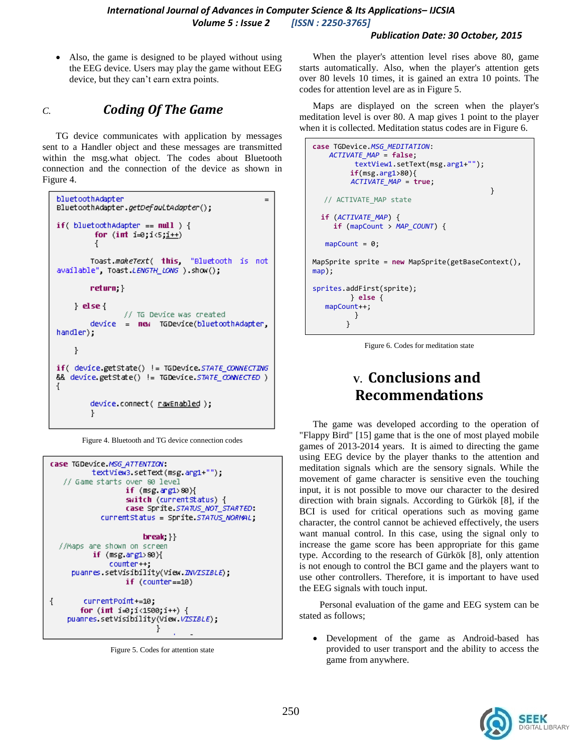#### *Publication Date: 30 October, 2015*

• Also, the game is designed to be played without using the EEG device. Users may play the game without EEG device, but they can't earn extra points.

# *C. Coding Of The Game*

TG device communicates with application by messages sent to a Handler object and these messages are transmitted within the msg.what object. The codes about Bluetooth connection and the connection of the device as shown in Figure 4.

```
bluetoothAdapter
                                                  =BluetoothAdapter.getDefouLtAdapter();
if( blue toothAdapter == null ) {
         for (int i=0; i<5; i++)Ł
        Toast.makeText( this, "Bluetooth is not
available" Toast LENGTH_LONG ).show();
        return; }
    \} else\{// TG Device was created
        device = new TGDevice(bluetoothAdapter,
handler);
    ŀ
if( device.getState() != TGDevice.STATE_CONNECTING
&& device.getState() != TGDevice.STATE_CONNECTED )
\{device.connect( <u>rawEnabled</u> );
        ł
```
Figure 4. Bluetooth and TG device connection codes

```
case TGDevice.MSG ATTENTION:
          textView3.setText(msg.arg1+"");
   // Game starts over 80 level
                  if (msg arg180){
                  switch (currentStatus) {
                  case Sprite STATUS NOT STARTED:
            currentStatus = Sprite.STATUS_NORMAL;
                      break;}}
  //Maps are shown on screen
          if (msg. arg180){
              counter++;
     puannes.setVisibility(View.INVISIBLE);
                  if (counter==10)\{currentPoint+=10;
       for (int i=0; i(1500; i++) {
    puannes.setVisibility(View.VISIBLE);
                          ł
```
Figure 5. Codes for attention state

When the player's attention level rises above 80, game starts automatically. Also, when the player's attention gets over 80 levels 10 times, it is gained an extra 10 points. The codes for attention level are as in Figure 5.

Maps are displayed on the screen when the player's meditation level is over 80. A map gives 1 point to the player when it is collected. Meditation status codes are in Figure 6.

```
case TGDevice.MSG_MEDITATION:
    ACTIVATE_MAP = false;
         textView1.setText(msg.arg1+"");
         if(msg.arg1>80){
        ACTIVATE_MAP = true;
        }
   // ACTIVATE_MAP state
  if (ACTIVATE_MAP) {
     if (mapCount > MAP_COUNT) {
  mapCount = 0;
MapSprite sprite = new MapSprite(getBaseContext(), 
map);
sprites.addFirst(sprite);
         } else {
   mapCount++;
          }
        }
```
Figure 6. Codes for meditation state

# **V. Conclusions and Recommendations**

The game was developed according to the operation of "Flappy Bird" [15] game that is the one of most played mobile games of 2013-2014 years. It is aimed to directing the game using EEG device by the player thanks to the attention and meditation signals which are the sensory signals. While the movement of game character is sensitive even the touching input, it is not possible to move our character to the desired direction with brain signals. According to Gürkök [8], if the BCI is used for critical operations such as moving game character, the control cannot be achieved effectively, the users want manual control. In this case, using the signal only to increase the game score has been appropriate for this game type. According to the research of Gürkök [8], only attention is not enough to control the BCI game and the players want to use other controllers. Therefore, it is important to have used the EEG signals with touch input.

Personal evaluation of the game and EEG system can be stated as follows;

 Development of the game as Android-based has provided to user transport and the ability to access the game from anywhere.